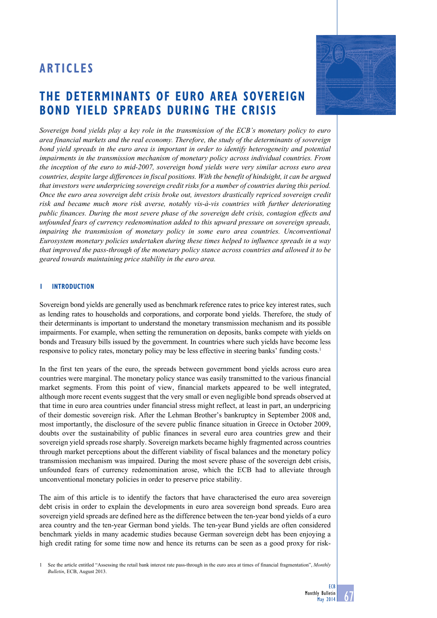# **ARTICLES**

# **the determinants of euro area sovereign bond yield spreads during the crisis**

*Sovereign bond yields play a key role in the transmission of the ECB's monetary policy to euro area financial markets and the real economy. Therefore, the study of the determinants of sovereign bond yield spreads in the euro area is important in order to identify heterogeneity and potential impairments in the transmission mechanism of monetary policy across individual countries. From the inception of the euro to mid-2007, sovereign bond yields were very similar across euro area countries, despite large differences in fiscal positions. With the benefit of hindsight, it can be argued that investors were underpricing sovereign credit risks for a number of countries during this period. Once the euro area sovereign debt crisis broke out, investors drastically repriced sovereign credit risk and became much more risk averse, notably vis-à-vis countries with further deteriorating public finances. During the most severe phase of the sovereign debt crisis, contagion effects and unfounded fears of currency redenomination added to this upward pressure on sovereign spreads, impairing the transmission of monetary policy in some euro area countries. Unconventional Eurosystem monetary policies undertaken during these times helped to influence spreads in a way that improved the pass-through of the monetary policy stance across countries and allowed it to be geared towards maintaining price stability in the euro area.*

## **1 Introduction**

Sovereign bond yields are generally used as benchmark reference rates to price key interest rates, such as lending rates to households and corporations, and corporate bond yields. Therefore, the study of their determinants is important to understand the monetary transmission mechanism and its possible impairments. For example, when setting the remuneration on deposits, banks compete with yields on bonds and Treasury bills issued by the government. In countries where such yields have become less responsive to policy rates, monetary policy may be less effective in steering banks' funding costs.<sup>1</sup>

In the first ten years of the euro, the spreads between government bond yields across euro area countries were marginal. The monetary policy stance was easily transmitted to the various financial market segments. From this point of view, financial markets appeared to be well integrated, although more recent events suggest that the very small or even negligible bond spreads observed at that time in euro area countries under financial stress might reflect, at least in part, an underpricing of their domestic sovereign risk. After the Lehman Brother's bankruptcy in September 2008 and, most importantly, the disclosure of the severe public finance situation in Greece in October 2009, doubts over the sustainability of public finances in several euro area countries grew and their sovereign yield spreads rose sharply. Sovereign markets became highly fragmented across countries through market perceptions about the different viability of fiscal balances and the monetary policy transmission mechanism was impaired. During the most severe phase of the sovereign debt crisis, unfounded fears of currency redenomination arose, which the ECB had to alleviate through unconventional monetary policies in order to preserve price stability.

The aim of this article is to identify the factors that have characterised the euro area sovereign debt crisis in order to explain the developments in euro area sovereign bond spreads. Euro area sovereign yield spreads are defined here as the difference between the ten-year bond yields of a euro area country and the ten-year German bond yields. The ten-year Bund yields are often considered benchmark yields in many academic studies because German sovereign debt has been enjoying a high credit rating for some time now and hence its returns can be seen as a good proxy for risk-

1 See the article entitled "Assessing the retail bank interest rate pass-through in the euro area at times of financial fragmentation", *Monthly Bulletin*, ECB, August 2013.

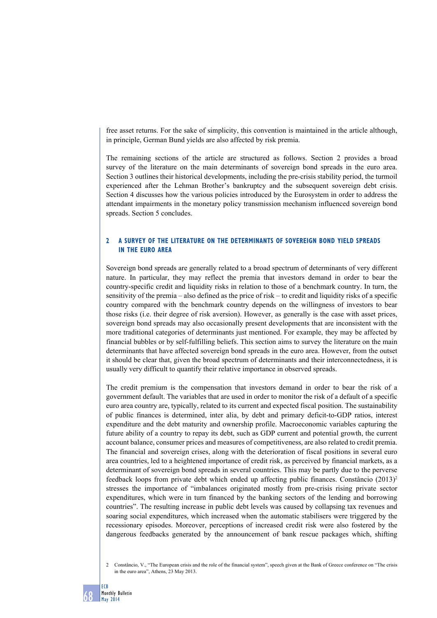free asset returns. For the sake of simplicity, this convention is maintained in the article although, in principle, German Bund yields are also affected by risk premia.

The remaining sections of the article are structured as follows. Section 2 provides a broad survey of the literature on the main determinants of sovereign bond spreads in the euro area. Section 3 outlines their historical developments, including the pre-crisis stability period, the turmoil experienced after the Lehman Brother's bankruptcy and the subsequent sovereign debt crisis. Section 4 discusses how the various policies introduced by the Eurosystem in order to address the attendant impairments in the monetary policy transmission mechanism influenced sovereign bond spreads. Section 5 concludes.

## **2 A survey of the literature on the determinants of sovereign bond yield spreads in the euro area**

Sovereign bond spreads are generally related to a broad spectrum of determinants of very different nature. In particular, they may reflect the premia that investors demand in order to bear the country-specific credit and liquidity risks in relation to those of a benchmark country. In turn, the sensitivity of the premia – also defined as the price of risk – to credit and liquidity risks of a specific country compared with the benchmark country depends on the willingness of investors to bear those risks (i.e. their degree of risk aversion). However, as generally is the case with asset prices, sovereign bond spreads may also occasionally present developments that are inconsistent with the more traditional categories of determinants just mentioned. For example, they may be affected by financial bubbles or by self-fulfilling beliefs. This section aims to survey the literature on the main determinants that have affected sovereign bond spreads in the euro area. However, from the outset it should be clear that, given the broad spectrum of determinants and their interconnectedness, it is usually very difficult to quantify their relative importance in observed spreads.

The credit premium is the compensation that investors demand in order to bear the risk of a government default. The variables that are used in order to monitor the risk of a default of a specific euro area country are, typically, related to its current and expected fiscal position. The sustainability of public finances is determined, inter alia, by debt and primary deficit-to-GDP ratios, interest expenditure and the debt maturity and ownership profile. Macroeconomic variables capturing the future ability of a country to repay its debt, such as GDP current and potential growth, the current account balance, consumer prices and measures of competitiveness, are also related to credit premia. The financial and sovereign crises, along with the deterioration of fiscal positions in several euro area countries, led to a heightened importance of credit risk, as perceived by financial markets, as a determinant of sovereign bond spreads in several countries. This may be partly due to the perverse feedback loops from private debt which ended up affecting public finances. Constâncio (2013)<sup>2</sup> stresses the importance of "imbalances originated mostly from pre-crisis rising private sector expenditures, which were in turn financed by the banking sectors of the lending and borrowing countries". The resulting increase in public debt levels was caused by collapsing tax revenues and soaring social expenditures, which increased when the automatic stabilisers were triggered by the recessionary episodes. Moreover, perceptions of increased credit risk were also fostered by the dangerous feedbacks generated by the announcement of bank rescue packages which, shifting

<sup>2</sup> Constâncio, V., "The European crisis and the role of the financial system", speech given at the Bank of Greece conference on "The crisis in the euro area", Athens, 23 May 2013.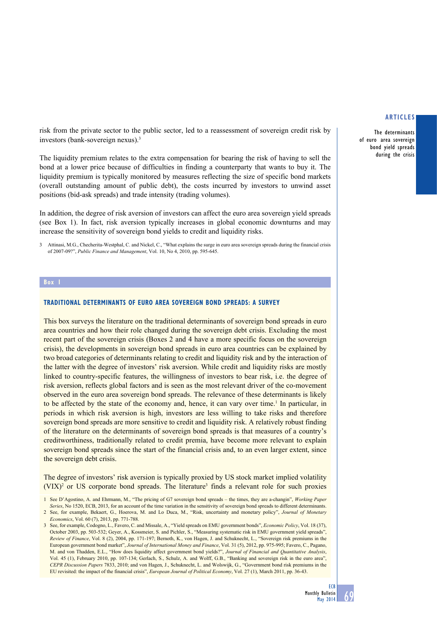The determinants of euro area sovereign bond yield spreads during the crisis

risk from the private sector to the public sector, led to a reassessment of sovereign credit risk by investors (bank-sovereign nexus).3

The liquidity premium relates to the extra compensation for bearing the risk of having to sell the bond at a lower price because of difficulties in finding a counterparty that wants to buy it. The liquidity premium is typically monitored by measures reflecting the size of specific bond markets (overall outstanding amount of public debt), the costs incurred by investors to unwind asset positions (bid-ask spreads) and trade intensity (trading volumes).

In addition, the degree of risk aversion of investors can affect the euro area sovereign yield spreads (see Box 1). In fact, risk aversion typically increases in global economic downturns and may increase the sensitivity of sovereign bond yields to credit and liquidity risks.

3 Attinasi, M.G., Checherita-Westphal, C. and Nickel, C., "What explains the surge in euro area sovereign spreads during the financial crisis of 2007-09?", *Public Finance and Management*, Vol. 10, No 4, 2010, pp. 595-645.

#### **Box 1**

### **Traditional determinants of euro area sovereign bond spreads: a survey**

This box surveys the literature on the traditional determinants of sovereign bond spreads in euro area countries and how their role changed during the sovereign debt crisis. Excluding the most recent part of the sovereign crisis (Boxes 2 and 4 have a more specific focus on the sovereign crisis), the developments in sovereign bond spreads in euro area countries can be explained by two broad categories of determinants relating to credit and liquidity risk and by the interaction of the latter with the degree of investors' risk aversion. While credit and liquidity risks are mostly linked to country-specific features, the willingness of investors to bear risk, i.e. the degree of risk aversion, reflects global factors and is seen as the most relevant driver of the co-movement observed in the euro area sovereign bond spreads. The relevance of these determinants is likely to be affected by the state of the economy and, hence, it can vary over time.<sup>1</sup> In particular, in periods in which risk aversion is high, investors are less willing to take risks and therefore sovereign bond spreads are more sensitive to credit and liquidity risk. A relatively robust finding of the literature on the determinants of sovereign bond spreads is that measures of a country's creditworthiness, traditionally related to credit premia, have become more relevant to explain sovereign bond spreads since the start of the financial crisis and, to an even larger extent, since the sovereign debt crisis.

The degree of investors' risk aversion is typically proxied by US stock market implied volatility  $(VIX)^2$  or US corporate bond spreads. The literature<sup>3</sup> finds a relevant role for such proxies

<sup>1</sup> See D'Agostino, A. and Ehrmann, M., "The pricing of G7 sovereign bond spreads – the times, they are a-changin", *Working Paper Series*, No 1520, ECB, 2013, for an account of the time variation in the sensitivity of sovereign bond spreads to different determinants.

<sup>2</sup> See, for example, Bekaert, G., Hoerova, M. and Lo Duca, M., "Risk, uncertainty and monetary policy", *Journal of Monetary Economics*, Vol. 60 (7), 2013, pp. 771-788.

<sup>3</sup> See, for example, Codogno, L., Favero, C. and Missale, A., "Yield spreads on EMU government bonds", *Economic Policy*, Vol. 18 (37), October 2003, pp. 503-532; Geyer, A., Kossmeier, S. and Pichler, S., "Measuring systematic risk in EMU government yield spreads", *Review of Finance*, Vol. 8 (2), 2004, pp. 171-197; Bernoth, K., von Hagen, J. and Schuknecht, L., "Sovereign risk premiums in the European government bond market", *Journal of International Money and Finance*, Vol. 31 (5), 2012, pp. 975-995; Favero, C., Pagano, M. and von Thadden, E.L., "How does liquidity affect government bond yields?", *Journal of Financial and Quantitative Analysis*, Vol. 45 (1), February 2010, pp. 107-134; Gerlach, S., Schulz, A. and Wolff, G.B., "Banking and sovereign risk in the euro area", *CEPR Discussion Papers* 7833, 2010; and von Hagen, J., Schuknecht, L. and Wolswijk, G., "Government bond risk premiums in the EU revisited: the impact of the financial crisis", *European Journal of Political Economy*, Vol. 27 (1), March 2011, pp. 36-43.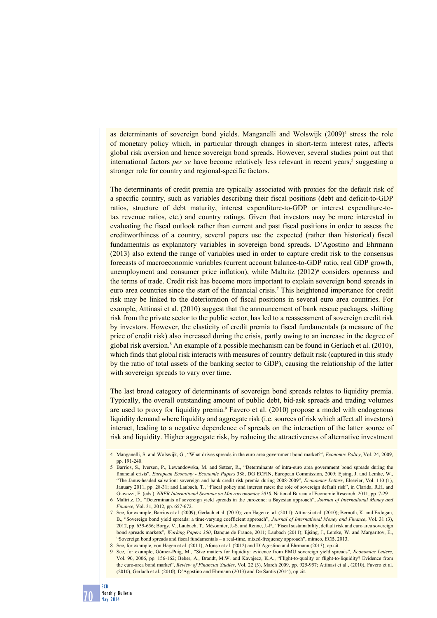as determinants of sovereign bond yields. Manganelli and Wolswijk (2009)<sup>4</sup> stress the role of monetary policy which, in particular through changes in short-term interest rates, affects global risk aversion and hence sovereign bond spreads. However, several studies point out that international factors *per se* have become relatively less relevant in recent years,<sup>5</sup> suggesting a stronger role for country and regional-specific factors.

The determinants of credit premia are typically associated with proxies for the default risk of a specific country, such as variables describing their fiscal positions (debt and deficit-to-GDP ratios, structure of debt maturity, interest expenditure-to-GDP or interest expenditure-totax revenue ratios, etc.) and country ratings. Given that investors may be more interested in evaluating the fiscal outlook rather than current and past fiscal positions in order to assess the creditworthiness of a country, several papers use the expected (rather than historical) fiscal fundamentals as explanatory variables in sovereign bond spreads. D'Agostino and Ehrmann (2013) also extend the range of variables used in order to capture credit risk to the consensus forecasts of macroeconomic variables (current account balance-to-GDP ratio, real GDP growth, unemployment and consumer price inflation), while Maltritz  $(2012)^6$  considers openness and the terms of trade. Credit risk has become more important to explain sovereign bond spreads in euro area countries since the start of the financial crisis.<sup>7</sup> This heightened importance for credit risk may be linked to the deterioration of fiscal positions in several euro area countries. For example, Attinasi et al. (2010) suggest that the announcement of bank rescue packages, shifting risk from the private sector to the public sector, has led to a reassessment of sovereign credit risk by investors. However, the elasticity of credit premia to fiscal fundamentals (a measure of the price of credit risk) also increased during the crisis, partly owing to an increase in the degree of global risk aversion.<sup>8</sup> An example of a possible mechanism can be found in Gerlach et al. (2010), which finds that global risk interacts with measures of country default risk (captured in this study by the ratio of total assets of the banking sector to GDP), causing the relationship of the latter with sovereign spreads to vary over time.

The last broad category of determinants of sovereign bond spreads relates to liquidity premia. Typically, the overall outstanding amount of public debt, bid-ask spreads and trading volumes are used to proxy for liquidity premia.<sup>9</sup> Favero et al. (2010) propose a model with endogenous liquidity demand where liquidity and aggregate risk (i.e. sources of risk which affect all investors) interact, leading to a negative dependence of spreads on the interaction of the latter source of risk and liquidity. Higher aggregate risk, by reducing the attractiveness of alternative investment

<sup>4</sup> Manganelli, S. and Wolswijk, G., "What drives spreads in the euro area government bond market?", *Economic Policy*, Vol. 24, 2009, pp. 191-240.

<sup>5</sup> Barrios, S., Iversen, P., Lewandowska, M. and Setzer, R., "Determinants of intra-euro area government bond spreads during the financial crisis", *European Economy - Economic Papers* 388, DG ECFIN, European Commission, 2009; Ejsing, J. and Lemke, W., "The Janus-headed salvation: sovereign and bank credit risk premia during 2008-2009", *Economics Letters*, Elsevier, Vol. 110 (1), January 2011, pp. 28-31; and Laubach, T., "Fiscal policy and interest rates: the role of sovereign default risk", in Clarida, R.H. and Giavazzi, F. (eds.), *NBER International Seminar on Macroeconomics 2010*, National Bureau of Economic Research, 2011, pp. 7-29.

<sup>6</sup> Maltritz, D., "Determinants of sovereign yield spreads in the eurozone: a Bayesian approach", *Journal of International Money and Finance,* Vol. 31, 2012, pp. 657-672.

<sup>7</sup> See, for example, Barrios et al. (2009); Gerlach et al. (2010); von Hagen et al. (2011); Attinasi et al. (2010); Bernoth, K. and Erdogan, B., "Sovereign bond yield spreads: a time-varying coefficient approach", *Journal of International Money and Finance*, Vol. 31 (3), 2012, pp. 639-656; Borgy, V., Laubach, T., Mésonnier, J.-S. and Renne, J.-P., "Fiscal sustainability, default risk and euro area sovereign bond spreads markets", *Working Papers 350*, Banque de France, 2011; Laubach (2011); Ejsing, J., Lemke, W. and Margaritov, E., "Sovereign bond spreads and fiscal fundamentals – a real-time, mixed-frequency approach", mimeo, ECB, 2013.

<sup>8</sup> See, for example, von Hagen et al. (2011), Afonso et al. (2012) and D'Agostino and Ehrmann (2013), op.cit.

<sup>9</sup> See, for example, Gómez-Puig, M., "Size matters for liquidity: evidence from emu sovereign yield spreads", *Economics Letters*, Vol. 90, 2006, pp. 156-162; Beber, A., Brandt, M.W. and Kavajecz, K.A., "Flight-to-quality or flight-to-liquidity? Evidence from the euro-area bond market", *Review of Financial Studies*, Vol. 22 (3), March 2009, pp. 925-957; Attinasi et al., (2010), Favero et al. (2010), Gerlach et al. (2010), D'Agostino and Ehrmann (2013) and De Santis (2014), op.cit.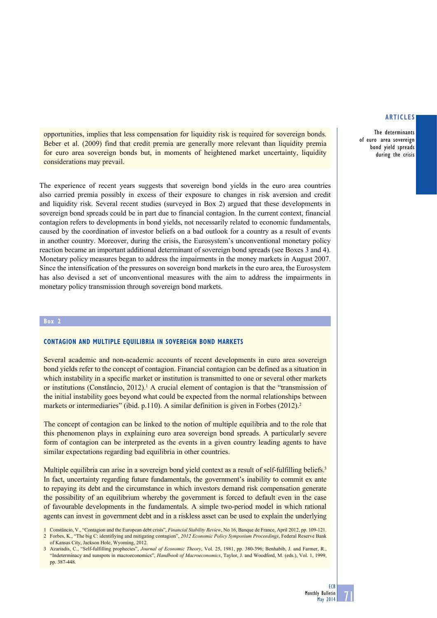The determinants of euro area sovereign bond yield spreads during the crisis

opportunities, implies that less compensation for liquidity risk is required for sovereign bonds. Beber et al. (2009) find that credit premia are generally more relevant than liquidity premia for euro area sovereign bonds but, in moments of heightened market uncertainty, liquidity considerations may prevail.

The experience of recent years suggests that sovereign bond yields in the euro area countries also carried premia possibly in excess of their exposure to changes in risk aversion and credit and liquidity risk. Several recent studies (surveyed in Box 2) argued that these developments in sovereign bond spreads could be in part due to financial contagion. In the current context, financial contagion refers to developments in bond yields, not necessarily related to economic fundamentals, caused by the coordination of investor beliefs on a bad outlook for a country as a result of events in another country. Moreover, during the crisis, the Eurosystem's unconventional monetary policy reaction became an important additional determinant of sovereign bond spreads (see Boxes 3 and 4). Monetary policy measures began to address the impairments in the money markets in August 2007. Since the intensification of the pressures on sovereign bond markets in the euro area, the Eurosystem has also devised a set of unconventional measures with the aim to address the impairments in monetary policy transmission through sovereign bond markets.

#### **Box 2**

## **Contagion and multiple equilibria in sovereign bond markets**

Several academic and non-academic accounts of recent developments in euro area sovereign bond yields refer to the concept of contagion. Financial contagion can be defined as a situation in which instability in a specific market or institution is transmitted to one or several other markets or institutions (Constâncio, 2012).<sup>1</sup> A crucial element of contagion is that the "transmission of the initial instability goes beyond what could be expected from the normal relationships between markets or intermediaries" (ibid. p.110). A similar definition is given in Forbes (2012).<sup>2</sup>

The concept of contagion can be linked to the notion of multiple equilibria and to the role that this phenomenon plays in explaining euro area sovereign bond spreads. A particularly severe form of contagion can be interpreted as the events in a given country leading agents to have similar expectations regarding bad equilibria in other countries.

Multiple equilibria can arise in a sovereign bond yield context as a result of self-fulfilling beliefs.<sup>3</sup> In fact, uncertainty regarding future fundamentals, the government's inability to commit ex ante to repaying its debt and the circumstance in which investors demand risk compensation generate the possibility of an equilibrium whereby the government is forced to default even in the case of favourable developments in the fundamentals. A simple two-period model in which rational agents can invest in government debt and in a riskless asset can be used to explain the underlying

**ECB** 

71

<sup>1</sup> Constâncio, V., "Contagion and the European debt crisis", *Financial Stability Review*, No 16, Banque de France, April 2012, pp. 109-121. 2 Forbes, K., "The big C: identifiying and mitigating contagion", *2012 Economic Policy Symposium Proceedings*, Federal Reserve Bank of Kansas City, Jackson Hole, Wyoming, 2012.

<sup>3</sup> Azariadis, C., "Self-fulfilling prophecies", *Journal of Economic Theory*, Vol. 25, 1981, pp. 380-396; Benhabib, J. and Farmer, R., "Indeterminacy and sunspots in macroeconomics", *Handbook of Macroeconomics*, Taylor, J. and Woodford, M. (eds.), Vol. 1, 1999, pp. 387-448.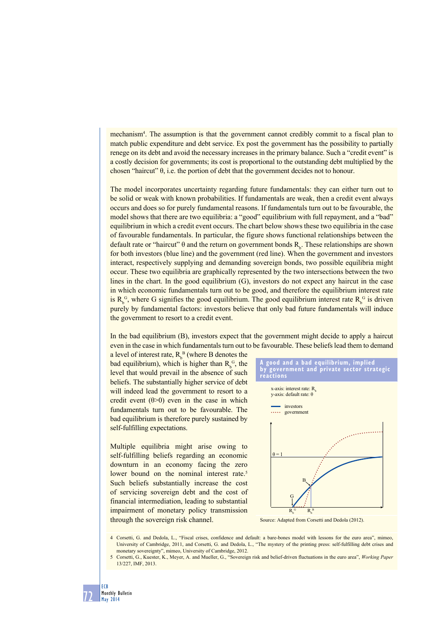mechanism<sup>4</sup>. The assumption is that the government cannot credibly commit to a fiscal plan to match public expenditure and debt service. Ex post the government has the possibility to partially renege on its debt and avoid the necessary increases in the primary balance. Such a "credit event" is a costly decision for governments; its cost is proportional to the outstanding debt multiplied by the chosen "haircut"  $θ$ , i.e. the portion of debt that the government decides not to honour.

The model incorporates uncertainty regarding future fundamentals: they can either turn out to be solid or weak with known probabilities. If fundamentals are weak, then a credit event always occurs and does so for purely fundamental reasons. If fundamentals turn out to be favourable, the model shows that there are two equilibria: a "good" equilibrium with full repayment, and a "bad" equilibrium in which a credit event occurs. The chart below shows these two equilibria in the case of favourable fundamentals. In particular, the figure shows functional relationships between the default rate or "haircut"  $\theta$  and the return on government bonds  $R_{b}$ . These relationships are shown for both investors (blue line) and the government (red line). When the government and investors interact, respectively supplying and demanding sovereign bonds, two possible equilibria might occur. These two equilibria are graphically represented by the two intersections between the two lines in the chart. In the good equilibrium (G), investors do not expect any haircut in the case in which economic fundamentals turn out to be good, and therefore the equilibrium interest rate is  $R_b^G$ , where G signifies the good equilibrium. The good equilibrium interest rate  $R_b^G$  is driven purely by fundamental factors: investors believe that only bad future fundamentals will induce the government to resort to a credit event.

In the bad equilibrium (B), investors expect that the government might decide to apply a haircut even in the case in which fundamentals turn out to be favourable. These beliefs lead them to demand

a level of interest rate,  $R_b^B$  (where B denotes the bad equilibrium), which is higher than  $R_b^G$ , the level that would prevail in the absence of such beliefs. The substantially higher service of debt will indeed lead the government to resort to a credit event  $(\theta > 0)$  even in the case in which fundamentals turn out to be favourable. The bad equilibrium is therefore purely sustained by self-fulfilling expectations.

Multiple equilibria might arise owing to self-fulfilling beliefs regarding an economic downturn in an economy facing the zero lower bound on the nominal interest rate.<sup>5</sup> Such beliefs substantially increase the cost of servicing sovereign debt and the cost of financial intermediation, leading to substantial impairment of monetary policy transmission through the sovereign risk channel.





Source: Adapted from Corsetti and Dedola (2012).

4 Corsetti, G. and Dedola, L., "Fiscal crises, confidence and default: a bare-bones model with lessons for the euro area", mimeo, University of Cambridge, 2011, and Corsetti, G. and Dedola, L., "The mystery of the printing press: self-fulfilling debt crises and monetary sovereignty", mimeo, University of Cambridge, 2012.

<sup>5</sup> Corsetti, G., Kuester, K., Meyer, A. and Mueller, G., "Sovereign risk and belief-driven fluctuations in the euro area", *Working Paper* 13/227, IMF, 2013.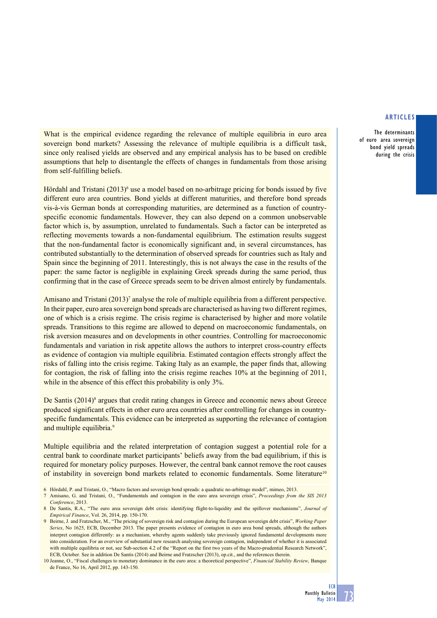The determinants of euro area sovereign bond yield spreads during the crisis

What is the empirical evidence regarding the relevance of multiple equilibria in euro area sovereign bond markets? Assessing the relevance of multiple equilibria is a difficult task, since only realised yields are observed and any empirical analysis has to be based on credible assumptions that help to disentangle the effects of changes in fundamentals from those arising from self-fulfilling beliefs.

Hördahl and Tristani (2013)<sup>6</sup> use a model based on no-arbitrage pricing for bonds issued by five different euro area countries. Bond yields at different maturities, and therefore bond spreads vis-à-vis German bonds at corresponding maturities, are determined as a function of countryspecific economic fundamentals. However, they can also depend on a common unobservable factor which is, by assumption, unrelated to fundamentals. Such a factor can be interpreted as reflecting movements towards a non-fundamental equilibrium. The estimation results suggest that the non-fundamental factor is economically significant and, in several circumstances, has contributed substantially to the determination of observed spreads for countries such as Italy and Spain since the beginning of 2011. Interestingly, this is not always the case in the results of the paper: the same factor is negligible in explaining Greek spreads during the same period, thus confirming that in the case of Greece spreads seem to be driven almost entirely by fundamentals.

Amisano and Tristani (2013)<sup>7</sup> analyse the role of multiple equilibria from a different perspective. In their paper, euro area sovereign bond spreads are characterised as having two different regimes, one of which is a crisis regime. The crisis regime is characterised by higher and more volatile spreads. Transitions to this regime are allowed to depend on macroeconomic fundamentals, on risk aversion measures and on developments in other countries. Controlling for macroeconomic fundamentals and variation in risk appetite allows the authors to interpret cross-country effects as evidence of contagion via multiple equilibria. Estimated contagion effects strongly affect the risks of falling into the crisis regime. Taking Italy as an example, the paper finds that, allowing for contagion, the risk of falling into the crisis regime reaches 10% at the beginning of 2011, while in the absence of this effect this probability is only  $3\%$ .

De Santis (2014)<sup>8</sup> argues that credit rating changes in Greece and economic news about Greece produced significant effects in other euro area countries after controlling for changes in countryspecific fundamentals. This evidence can be interpreted as supporting the relevance of contagion and multiple equilibria.<sup>9</sup>

Multiple equilibria and the related interpretation of contagion suggest a potential role for a central bank to coordinate market participants' beliefs away from the bad equilibrium, if this is required for monetary policy purposes. However, the central bank cannot remove the root causes of instability in sovereign bond markets related to economic fundamentals. Some literature<sup>10</sup>

- 6 Hördahl, P. and Tristani, O., "Macro factors and sovereign bond spreads: a quadratic no-arbitrage model", mimeo, 2013.
- 7 Amisano, G. and Tristani, O., "Fundamentals and contagion in the euro area sovereign crisis", *Proceedings from the SIS 2013 Conference*, 2013.

<sup>8</sup> De Santis, R.A., "The euro area sovereign debt crisis: identifying flight-to-liquidity and the spillover mechanisms", *Journal of Empirical Finance*, Vol. 26, 2014, pp. 150-170.

<sup>9</sup> Beirne, J. and Fratzscher, M., "The pricing of sovereign risk and contagion during the European sovereign debt crisis", *Working Paper Series*, No 1625, ECB, December 2013. The paper presents evidence of contagion in euro area bond spreads, although the authors interpret contagion differently: as a mechanism, whereby agents suddenly take previously ignored fundamental developments more into consideration. For an overview of substantial new research analysing sovereign contagion, independent of whether it is associated with multiple equilibria or not, see Sub-section 4.2 of the "Report on the first two years of the Macro-prudential Research Network", ECB, October. See in addition De Santis (2014) and Beirne and Fratzscher (2013), op.cit., and the references therein.

<sup>10</sup> Jeanne, O., "Fiscal challenges to monetary dominance in the euro area: a theoretical perspective", *Financial Stability Review,* Banque de France, No 16, April 2012, pp. 143-150.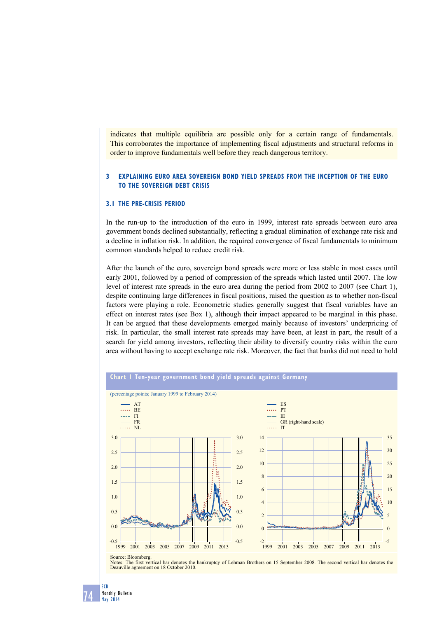indicates that multiple equilibria are possible only for a certain range of fundamentals. This corroborates the importance of implementing fiscal adjustments and structural reforms in order to improve fundamentals well before they reach dangerous territory.

## **3 explaining euro area sovereign bond Yield spreads from the inception of the euro to the sovereign debt crisis**

## **3.1 the pre-crisis period**

In the run-up to the introduction of the euro in 1999, interest rate spreads between euro area government bonds declined substantially, reflecting a gradual elimination of exchange rate risk and a decline in inflation risk. In addition, the required convergence of fiscal fundamentals to minimum common standards helped to reduce credit risk.

After the launch of the euro, sovereign bond spreads were more or less stable in most cases until early 2001, followed by a period of compression of the spreads which lasted until 2007. The low level of interest rate spreads in the euro area during the period from 2002 to 2007 (see Chart 1), despite continuing large differences in fiscal positions, raised the question as to whether non-fiscal factors were playing a role. Econometric studies generally suggest that fiscal variables have an effect on interest rates (see Box 1), although their impact appeared to be marginal in this phase. It can be argued that these developments emerged mainly because of investors' underpricing of risk. In particular, the small interest rate spreads may have been, at least in part, the result of a search for yield among investors, reflecting their ability to diversify country risks within the euro area without having to accept exchange rate risk. Moreover, the fact that banks did not need to hold



The first vertical bar denotes the bankruptcy of Lehman Brothers on 15 September 2008. The second vertical bar denotes the Deauville agreement on 18 October 2010.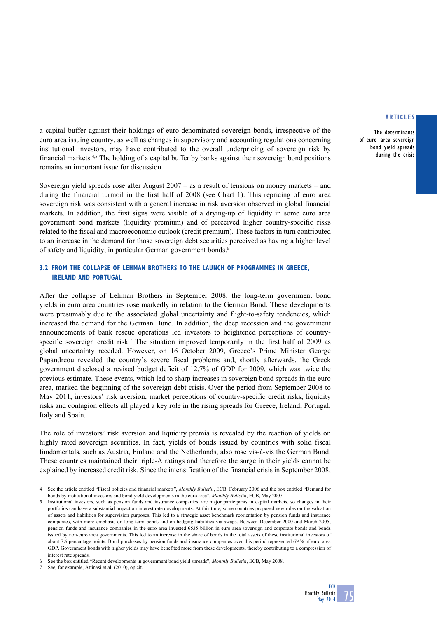The determinants of euro area sovereign bond yield spreads during the crisis

a capital buffer against their holdings of euro-denominated sovereign bonds, irrespective of the euro area issuing country, as well as changes in supervisory and accounting regulations concerning institutional investors, may have contributed to the overall underpricing of sovereign risk by financial markets.4,5 The holding of a capital buffer by banks against their sovereign bond positions remains an important issue for discussion.

Sovereign yield spreads rose after August 2007 – as a result of tensions on money markets – and during the financial turmoil in the first half of 2008 (see Chart 1). This repricing of euro area sovereign risk was consistent with a general increase in risk aversion observed in global financial markets. In addition, the first signs were visible of a drying-up of liquidity in some euro area government bond markets (liquidity premium) and of perceived higher country-specific risks related to the fiscal and macroeconomic outlook (credit premium). These factors in turn contributed to an increase in the demand for those sovereign debt securities perceived as having a higher level of safety and liquidity, in particular German government bonds.<sup>6</sup>

## **3.2 from the collapse of Lehman Brothers to the launch of programmes in Greece, Ireland and Portugal**

After the collapse of Lehman Brothers in September 2008, the long-term government bond yields in euro area countries rose markedly in relation to the German Bund. These developments were presumably due to the associated global uncertainty and flight-to-safety tendencies, which increased the demand for the German Bund. In addition, the deep recession and the government announcements of bank rescue operations led investors to heightened perceptions of countryspecific sovereign credit risk.<sup>7</sup> The situation improved temporarily in the first half of 2009 as global uncertainty receded. However, on 16 October 2009, Greece's Prime Minister George Papandreou revealed the country's severe fiscal problems and, shortly afterwards, the Greek government disclosed a revised budget deficit of 12.7% of GDP for 2009, which was twice the previous estimate. These events, which led to sharp increases in sovereign bond spreads in the euro area, marked the beginning of the sovereign debt crisis. Over the period from September 2008 to May 2011, investors' risk aversion, market perceptions of country-specific credit risks, liquidity risks and contagion effects all played a key role in the rising spreads for Greece, Ireland, Portugal, Italy and Spain.

The role of investors' risk aversion and liquidity premia is revealed by the reaction of yields on highly rated sovereign securities. In fact, yields of bonds issued by countries with solid fiscal fundamentals, such as Austria, Finland and the Netherlands, also rose vis-à-vis the German Bund. These countries maintained their triple-A ratings and therefore the surge in their yields cannot be explained by increased credit risk. Since the intensification of the financial crisis in September 2008,

<sup>4</sup> See the article entitled "Fiscal policies and financial markets", *Monthly Bulletin*, ECB, February 2006 and the box entitled "Demand for bonds by institutional investors and bond yield developments in the euro area", *Monthly Bulletin*, ECB, May 2007.

<sup>5</sup> Institutional investors, such as pension funds and insurance companies, are major participants in capital markets, so changes in their portfolios can have a substantial impact on interest rate developments. At this time, some countries proposed new rules on the valuation of assets and liabilities for supervision purposes. This led to a strategic asset benchmark reorientation by pension funds and insurance companies, with more emphasis on long-term bonds and on hedging liabilities via swaps. Between December 2000 and March 2005, pension funds and insurance companies in the euro area invested €535 billion in euro area sovereign and corporate bonds and bonds issued by non-euro area governments. This led to an increase in the share of bonds in the total assets of these institutional investors of about 7½ percentage points. Bond purchases by pension funds and insurance companies over this period represented 6½% of euro area GDP. Government bonds with higher yields may have benefited more from these developments, thereby contributing to a compression of interest rate spreads.

<sup>6</sup> See the box entitled "Recent developments in government bond yield spreads", *Monthly Bulletin*, ECB, May 2008.

See, for example, Attinasi et al. (2010), op.cit.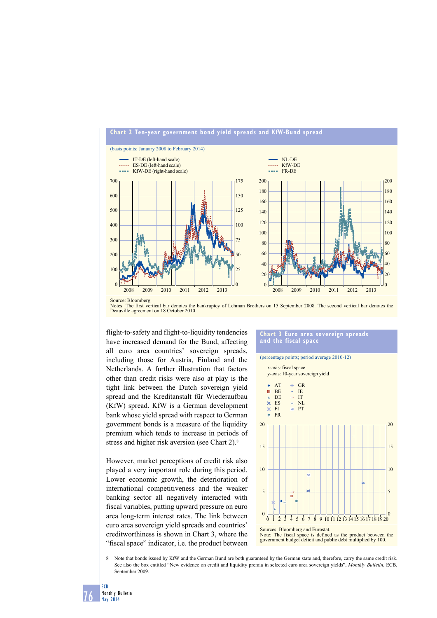



flight-to-safety and flight-to-liquidity tendencies have increased demand for the Bund, affecting all euro area countries' sovereign spreads, including those for Austria, Finland and the Netherlands. A further illustration that factors other than credit risks were also at play is the tight link between the Dutch sovereign yield spread and the Kreditanstalt für Wiederaufbau (KfW) spread. KfW is a German development bank whose yield spread with respect to German government bonds is a measure of the liquidity premium which tends to increase in periods of stress and higher risk aversion (see Chart 2).8

However, market perceptions of credit risk also played a very important role during this period. Lower economic growth, the deterioration of international competitiveness and the weaker banking sector all negatively interacted with fiscal variables, putting upward pressure on euro area long-term interest rates. The link between euro area sovereign yield spreads and countries' creditworthiness is shown in Chart 3, where the "fiscal space" indicator, i.e. the product between

#### (percentage points; period average 2010-12) x-axis: fiscal space y-axis: 10-year sovereign yield Ŧ, GR AT BE IE m DE IT  $\frac{x}{x}$ ES ä NL  $\mathbf{z}$ **PT FI**  $\ddot{\Phi}$ FR 20 20 15 15 10 10 5 5  $\theta$  $\Omega$  $\frac{1}{3}$   $\frac{1}{4}$   $\frac{1}{5}$   $\frac{1}{6}$   $\frac{1}{7}$   $\frac{1}{8}$   $\frac{9}{10}$  11 12 13 14 15 16 17 18 19 20 Sources: Bloomberg and Eurostat. Note: The fiscal space is defined as the product between the government budget deficit and public debt multiplied by 100.

**chart 3 euro area sovereign spreads** 

**and the fiscal space**

8 Note that bonds issued by KfW and the German Bund are both guaranteed by the German state and, therefore, carry the same credit risk. See also the box entitled "New evidence on credit and liquidity premia in selected euro area sovereign yields", *Monthly Bulletin*, ECB, September 2009

76 Monthly Bulletin May 2014

ECB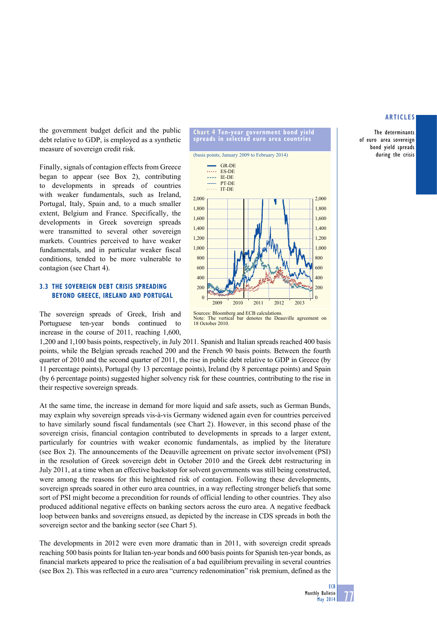The determinants of euro area sovereign bond yield spreads during the crisis

the government budget deficit and the public debt relative to GDP, is employed as a synthetic measure of sovereign credit risk.

Finally, signals of contagion effects from Greece began to appear (see Box 2), contributing to developments in spreads of countries with weaker fundamentals, such as Ireland, Portugal, Italy, Spain and, to a much smaller extent, Belgium and France. Specifically, the developments in Greek sovereign spreads were transmitted to several other sovereign markets. Countries perceived to have weaker fundamentals, and in particular weaker fiscal conditions, tended to be more vulnerable to contagion (see Chart 4).

## **3.3 the sovereign debt crisis spreading beyond Greece, Ireland and Portugal**

The sovereign spreads of Greek, Irish and Portuguese ten-year bonds continued to increase in the course of 2011, reaching 1,600,

1,200 and 1,100 basis points, respectively, in July 2011. Spanish and Italian spreads reached 400 basis points, while the Belgian spreads reached 200 and the French 90 basis points. Between the fourth quarter of 2010 and the second quarter of 2011, the rise in public debt relative to GDP in Greece (by 11 percentage points), Portugal (by 13 percentage points), Ireland (by 8 percentage points) and Spain (by 6 percentage points) suggested higher solvency risk for these countries, contributing to the rise in their respective sovereign spreads.

 $\Omega$ 200 400 600 800 1,000 1,200 1,400 1,600 1,800 2,000

At the same time, the increase in demand for more liquid and safe assets, such as German Bunds, may explain why sovereign spreads vis-à-vis Germany widened again even for countries perceived to have similarly sound fiscal fundamentals (see Chart 2). However, in this second phase of the sovereign crisis, financial contagion contributed to developments in spreads to a larger extent, particularly for countries with weaker economic fundamentals, as implied by the literature (see Box 2). The announcements of the Deauville agreement on private sector involvement (PSI) in the resolution of Greek sovereign debt in October 2010 and the Greek debt restructuring in July 2011, at a time when an effective backstop for solvent governments was still being constructed, were among the reasons for this heightened risk of contagion. Following these developments, sovereign spreads soared in other euro area countries, in a way reflecting stronger beliefs that some sort of PSI might become a precondition for rounds of official lending to other countries. They also produced additional negative effects on banking sectors across the euro area. A negative feedback loop between banks and sovereigns ensued, as depicted by the increase in CDS spreads in both the sovereign sector and the banking sector (see Chart 5).

The developments in 2012 were even more dramatic than in 2011, with sovereign credit spreads reaching 500 basis points for Italian ten-year bonds and 600 basis points for Spanish ten-year bonds, as financial markets appeared to price the realisation of a bad equilibrium prevailing in several countries (see Box 2). This was reflected in a euro area "currency redenomination" risk premium, defined as the



**chart 4 ten-year government bond yield spreads in selected euro area countries**

2009 2010 2011 2012 2013

Note: The vertical bar denotes the Deauville agreement on 18 October 2010.

Sources: Bloomberg and ECB calculations.

(basis points; January 2009 to February 2014)

PT-DE IT-DE

i i viti

GR-DE IE-DE ..... ES-DE

 $\overline{0}$ 200 400 600 800 1,000 1,200 1,400 1,600 1,800 2,000

Monthly Bulletin May 2014 77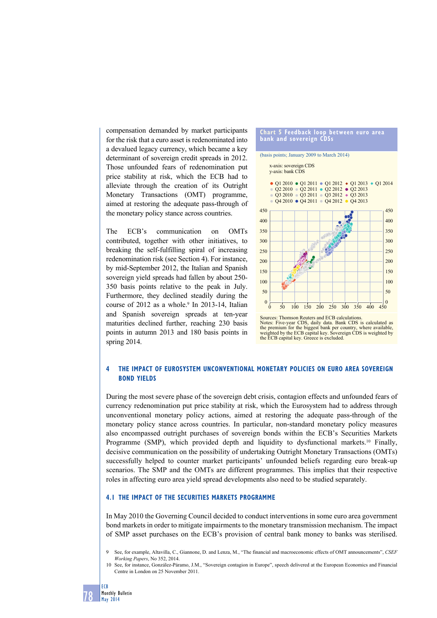compensation demanded by market participants for the risk that a euro asset is redenominated into a devalued legacy currency, which became a key determinant of sovereign credit spreads in 2012. Those unfounded fears of redenomination put price stability at risk, which the ECB had to alleviate through the creation of its Outright Monetary Transactions (OMT) programme, aimed at restoring the adequate pass-through of the monetary policy stance across countries.

The ECB's communication on OMTs contributed, together with other initiatives, to breaking the self-fulfilling spiral of increasing redenomination risk (see Section 4). For instance, by mid-September 2012, the Italian and Spanish sovereign yield spreads had fallen by about 250- 350 basis points relative to the peak in July. Furthermore, they declined steadily during the course of 2012 as a whole. $9 \text{ In } 2013-14$ , Italian and Spanish sovereign spreads at ten-year maturities declined further, reaching 230 basis points in autumn 2013 and 180 basis points in spring 2014.



Notes: Five-year CDS, daily data. Bank CDS is calculated as the premium for the biggest bank per country, where available, weighted by the ECB capital key. Sovereign CDS is weighted by the ECB capital key. Greece is excluded.

## **4 The impact of Eurosystem unconventional monetary policies on euro area sovereign bond yields**

During the most severe phase of the sovereign debt crisis, contagion effects and unfounded fears of currency redenomination put price stability at risk, which the Eurosystem had to address through unconventional monetary policy actions, aimed at restoring the adequate pass-through of the monetary policy stance across countries. In particular, non-standard monetary policy measures also encompassed outright purchases of sovereign bonds within the ECB's Securities Markets Programme (SMP), which provided depth and liquidity to dysfunctional markets.<sup>10</sup> Finally, decisive communication on the possibility of undertaking Outright Monetary Transactions (OMTs) successfully helped to counter market participants' unfounded beliefs regarding euro break-up scenarios. The SMP and the OMTs are different programmes. This implies that their respective roles in affecting euro area yield spread developments also need to be studied separately.

## **4.1 The impact of the Securities Markets Programme**

In May 2010 the Governing Council decided to conduct interventions in some euro area government bond markets in order to mitigate impairments to the monetary transmission mechanism. The impact of SMP asset purchases on the ECB's provision of central bank money to banks was sterilised.

<sup>10</sup> See, for instance, González-Páramo, J.M., "Sovereign contagion in Europe", speech delivered at the European Economics and Financial Centre in London on 25 November 2011.



<sup>9</sup> See, for example, Altavilla, C., Giannone, D. and Lenza, M., "The financial and macroeconomic effects of OMT announcements", *CSEF Working Papers*, No 352, 2014.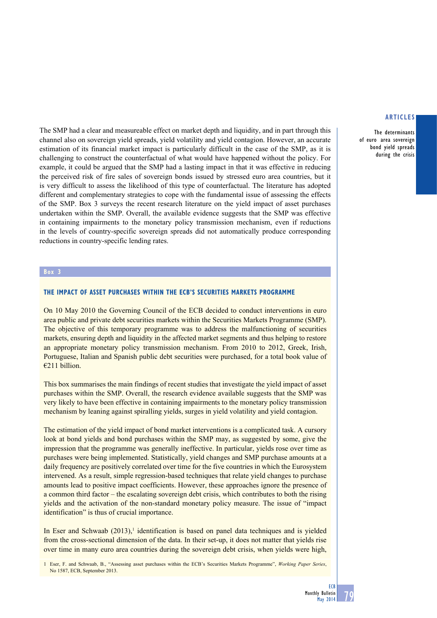The determinants of euro area sovereign bond yield spreads during the crisis

The SMP had a clear and measureable effect on market depth and liquidity, and in part through this channel also on sovereign yield spreads, yield volatility and yield contagion. However, an accurate estimation of its financial market impact is particularly difficult in the case of the SMP, as it is challenging to construct the counterfactual of what would have happened without the policy. For example, it could be argued that the SMP had a lasting impact in that it was effective in reducing the perceived risk of fire sales of sovereign bonds issued by stressed euro area countries, but it is very difficult to assess the likelihood of this type of counterfactual. The literature has adopted different and complementary strategies to cope with the fundamental issue of assessing the effects of the SMP. Box 3 surveys the recent research literature on the yield impact of asset purchases undertaken within the SMP. Overall, the available evidence suggests that the SMP was effective in containing impairments to the monetary policy transmission mechanism, even if reductions in the levels of country-specific sovereign spreads did not automatically produce corresponding reductions in country-specific lending rates.

## **Box 3**

## **The impact of asset purchases within the ECB's Securities Markets Programme**

On 10 May 2010 the Governing Council of the ECB decided to conduct interventions in euro area public and private debt securities markets within the Securities Markets Programme (SMP). The objective of this temporary programme was to address the malfunctioning of securities markets, ensuring depth and liquidity in the affected market segments and thus helping to restore an appropriate monetary policy transmission mechanism. From 2010 to 2012, Greek, Irish, Portuguese, Italian and Spanish public debt securities were purchased, for a total book value of €211 billion.

This box summarises the main findings of recent studies that investigate the yield impact of asset purchases within the SMP. Overall, the research evidence available suggests that the SMP was very likely to have been effective in containing impairments to the monetary policy transmission mechanism by leaning against spiralling yields, surges in yield volatility and yield contagion.

The estimation of the yield impact of bond market interventions is a complicated task. A cursory look at bond yields and bond purchases within the SMP may, as suggested by some, give the impression that the programme was generally ineffective. In particular, yields rose over time as purchases were being implemented. Statistically, yield changes and SMP purchase amounts at a daily frequency are positively correlated over time for the five countries in which the Eurosystem intervened. As a result, simple regression-based techniques that relate yield changes to purchase amounts lead to positive impact coefficients. However, these approaches ignore the presence of a common third factor – the escalating sovereign debt crisis, which contributes to both the rising yields and the activation of the non-standard monetary policy measure. The issue of "impact identification" is thus of crucial importance.

In Eser and Schwaab (2013),<sup>1</sup> identification is based on panel data techniques and is yielded from the cross-sectional dimension of the data. In their set-up, it does not matter that yields rise over time in many euro area countries during the sovereign debt crisis, when yields were high,

1 Eser, F. and Schwaab, B., "Assessing asset purchases within the ECB's Securities Markets Programme", *Working Paper Series*, No 1587, ECB, September 2013.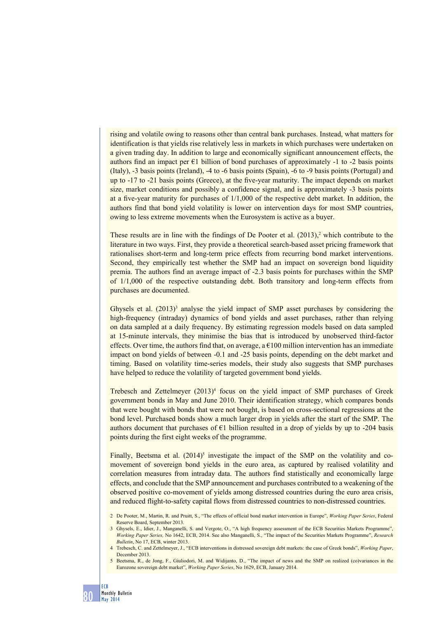rising and volatile owing to reasons other than central bank purchases. Instead, what matters for identification is that yields rise relatively less in markets in which purchases were undertaken on a given trading day. In addition to large and economically significant announcement effects, the authors find an impact per  $\epsilon$ 1 billion of bond purchases of approximately -1 to -2 basis points (Italy), -3 basis points (Ireland), -4 to -6 basis points (Spain), -6 to -9 basis points (Portugal) and up to -17 to -21 basis points (Greece), at the five-year maturity. The impact depends on market size, market conditions and possibly a confidence signal, and is approximately -3 basis points at a five-year maturity for purchases of 1/1,000 of the respective debt market. In addition, the authors find that bond yield volatility is lower on intervention days for most SMP countries, owing to less extreme movements when the Eurosystem is active as a buyer.

These results are in line with the findings of De Pooter et al.  $(2013)<sup>2</sup>$  which contribute to the literature in two ways. First, they provide a theoretical search-based asset pricing framework that rationalises short-term and long-term price effects from recurring bond market interventions. Second, they empirically test whether the SMP had an impact on sovereign bond liquidity premia. The authors find an average impact of -2.3 basis points for purchases within the SMP of 1/1,000 of the respective outstanding debt. Both transitory and long-term effects from purchases are documented.

Ghysels et al.  $(2013)^3$  analyse the yield impact of SMP asset purchases by considering the high-frequency (intraday) dynamics of bond yields and asset purchases, rather than relying on data sampled at a daily frequency. By estimating regression models based on data sampled at 15-minute intervals, they minimise the bias that is introduced by unobserved third-factor effects. Over time, the authors find that, on average, a  $\epsilon$ 100 million intervention has an immediate impact on bond yields of between -0.1 and -25 basis points, depending on the debt market and timing. Based on volatility time-series models, their study also suggests that SMP purchases have helped to reduce the volatility of targeted government bond yields.

Trebesch and Zettelmeyer (2013)<sup>4</sup> focus on the yield impact of SMP purchases of Greek government bonds in May and June 2010. Their identification strategy, which compares bonds that were bought with bonds that were not bought, is based on cross-sectional regressions at the bond level. Purchased bonds show a much larger drop in yields after the start of the SMP. The authors document that purchases of  $E1$  billion resulted in a drop of yields by up to -204 basis points during the first eight weeks of the programme.

Finally, Beetsma et al.  $(2014)^5$  investigate the impact of the SMP on the volatility and comovement of sovereign bond yields in the euro area, as captured by realised volatility and correlation measures from intraday data. The authors find statistically and economically large effects, and conclude that the SMP announcement and purchases contributed to a weakening of the observed positive co-movement of yields among distressed countries during the euro area crisis, and reduced flight-to-safety capital flows from distressed countries to non-distressed countries.

<sup>2</sup> De Pooter, M., Martin, R. and Pruitt, S., "The effects of official bond market intervention in Europe", *Working Paper Series*, Federal Reserve Board, September 2013.

<sup>3</sup> Ghysels, E., Idier, J., Manganelli, S. and Vergote, O., "A high frequency assessment of the ECB Securities Markets Programme", *Working Paper Series,* No 1642, ECB, 2014. See also Manganelli, S., "The impact of the Securities Markets Programme", *Research Bulletin*, No 17, ECB, winter 2013.

<sup>4</sup> Trebesch, C. and Zettelmeyer, J., "ECB interventions in distressed sovereign debt markets: the case of Greek bonds", *Working Paper*, December 2013.

<sup>5</sup> Beetsma, R., de Jong, F., Giuliodori, M. and Widijanto, D., "The impact of news and the SMP on realized (co)variances in the Eurozone sovereign debt market", *Working Paper Series*, No 1629, ECB, January 2014.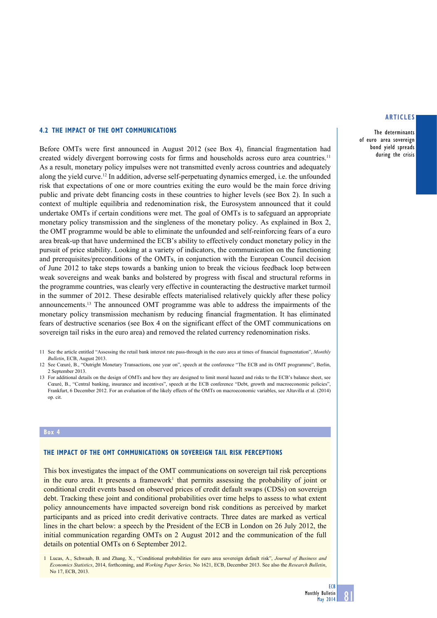The determinants of euro area sovereign bond yield spreads during the crisis

#### **4.2 The impact of the OMT communications**

Before OMTs were first announced in August 2012 (see Box 4), financial fragmentation had created widely divergent borrowing costs for firms and households across euro area countries.<sup>11</sup> As a result, monetary policy impulses were not transmitted evenly across countries and adequately along the yield curve.12 In addition, adverse self-perpetuating dynamics emerged, i.e. the unfounded risk that expectations of one or more countries exiting the euro would be the main force driving public and private debt financing costs in these countries to higher levels (see Box 2). In such a context of multiple equilibria and redenomination risk, the Eurosystem announced that it could undertake OMTs if certain conditions were met. The goal of OMTs is to safeguard an appropriate monetary policy transmission and the singleness of the monetary policy. As explained in Box 2, the OMT programme would be able to eliminate the unfounded and self-reinforcing fears of a euro area break-up that have undermined the ECB's ability to effectively conduct monetary policy in the pursuit of price stability. Looking at a variety of indicators, the communication on the functioning and prerequisites/preconditions of the OMTs, in conjunction with the European Council decision of June 2012 to take steps towards a banking union to break the vicious feedback loop between weak sovereigns and weak banks and bolstered by progress with fiscal and structural reforms in the programme countries, was clearly very effective in counteracting the destructive market turmoil in the summer of 2012. These desirable effects materialised relatively quickly after these policy announcements.13 The announced OMT programme was able to address the impairments of the monetary policy transmission mechanism by reducing financial fragmentation. It has eliminated fears of destructive scenarios (see Box 4 on the significant effect of the OMT communications on sovereign tail risks in the euro area) and removed the related currency redenomination risks.

- 11 See the article entitled "Assessing the retail bank interest rate pass-through in the euro area at times of financial fragmentation", *Monthly Bulletin*, ECB, August 2013.
- 12 See Cœuré, B., "Outright Monetary Transactions, one year on", speech at the conference "The ECB and its OMT programme", Berlin, 2 September 2013.
- 13 For additional details on the design of OMTs and how they are designed to limit moral hazard and risks to the ECB's balance sheet, see Cœuré, B., "Central banking, insurance and incentives", speech at the ECB conference "Debt, growth and macroeconomic policies", Frankfurt, 6 December 2012. For an evaluation of the likely effects of the OMTs on macroeconomic variables, see Altavilla et al. (2014) op. cit.

#### **Box 4**

## **The impact of the OMT communications on sovereign tail risk perceptions**

This box investigates the impact of the OMT communications on sovereign tail risk perceptions in the euro area. It presents a framework<sup>1</sup> that permits assessing the probability of joint or conditional credit events based on observed prices of credit default swaps (CDSs) on sovereign debt. Tracking these joint and conditional probabilities over time helps to assess to what extent policy announcements have impacted sovereign bond risk conditions as perceived by market participants and as priced into credit derivative contracts. Three dates are marked as vertical lines in the chart below: a speech by the President of the ECB in London on 26 July 2012, the initial communication regarding OMTs on 2 August 2012 and the communication of the full details on potential OMTs on 6 September 2012.

1 Lucas, A., Schwaab, B. and Zhang, X., "Conditional probabilities for euro area sovereign default risk", *Journal of Business and Economics Statistics*, 2014, forthcoming, and *Working Paper Series,* No 1621, ECB, December 2013. See also the *Research Bulletin*, No 17, ECB, 2013.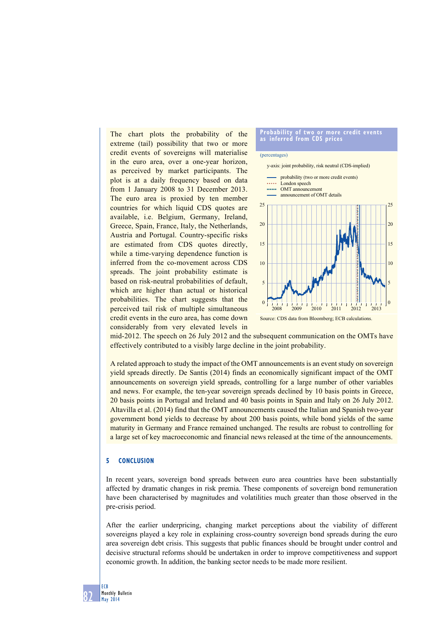The chart plots the probability of the extreme (tail) possibility that two or more credit events of sovereigns will materialise in the euro area, over a one-year horizon, as perceived by market participants. The plot is at a daily frequency based on data from 1 January 2008 to 31 December 2013. The euro area is proxied by ten member countries for which liquid CDS quotes are available, i.e. Belgium, Germany, Ireland, Greece, Spain, France, Italy, the Netherlands, Austria and Portugal. Country-specific risks are estimated from CDS quotes directly, while a time-varying dependence function is inferred from the co-movement across CDS spreads. The joint probability estimate is based on risk-neutral probabilities of default, which are higher than actual or historical probabilities. The chart suggests that the perceived tail risk of multiple simultaneous credit events in the euro area, has come down considerably from very elevated levels in

#### **probability of two or more credit events as inferred from cds prices**

#### (percentages)



mid-2012. The speech on 26 July 2012 and the subsequent communication on the OMTs have effectively contributed to a visibly large decline in the joint probability.

A related approach to study the impact of the OMT announcements is an event study on sovereign yield spreads directly. De Santis (2014) finds an economically significant impact of the OMT announcements on sovereign yield spreads, controlling for a large number of other variables and news. For example, the ten-year sovereign spreads declined by 10 basis points in Greece, 20 basis points in Portugal and Ireland and 40 basis points in Spain and Italy on 26 July 2012. Altavilla et al. (2014) find that the OMT announcements caused the Italian and Spanish two-year government bond yields to decrease by about 200 basis points, while bond yields of the same maturity in Germany and France remained unchanged. The results are robust to controlling for a large set of key macroeconomic and financial news released at the time of the announcements.

## **5 CONClusion**

In recent years, sovereign bond spreads between euro area countries have been substantially affected by dramatic changes in risk premia. These components of sovereign bond remuneration have been characterised by magnitudes and volatilities much greater than those observed in the pre-crisis period.

After the earlier underpricing, changing market perceptions about the viability of different sovereigns played a key role in explaining cross-country sovereign bond spreads during the euro area sovereign debt crisis. This suggests that public finances should be brought under control and decisive structural reforms should be undertaken in order to improve competitiveness and support economic growth. In addition, the banking sector needs to be made more resilient.